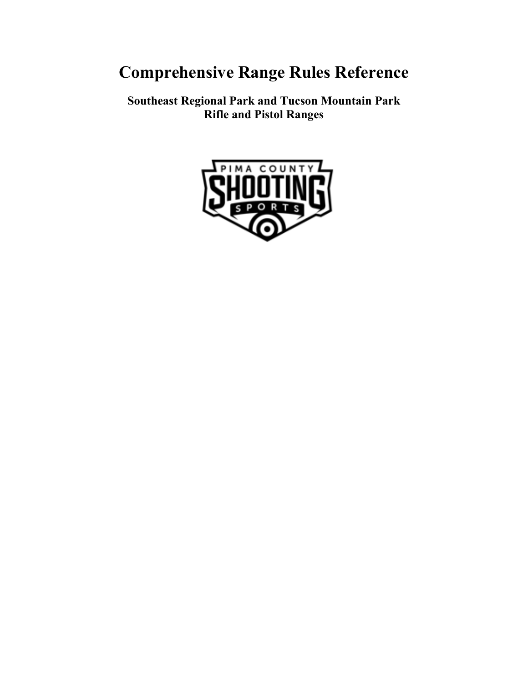# **Comprehensive Range Rules Reference**

**Southeast Regional Park and Tucson Mountain Park Rifle and Pistol Ranges**

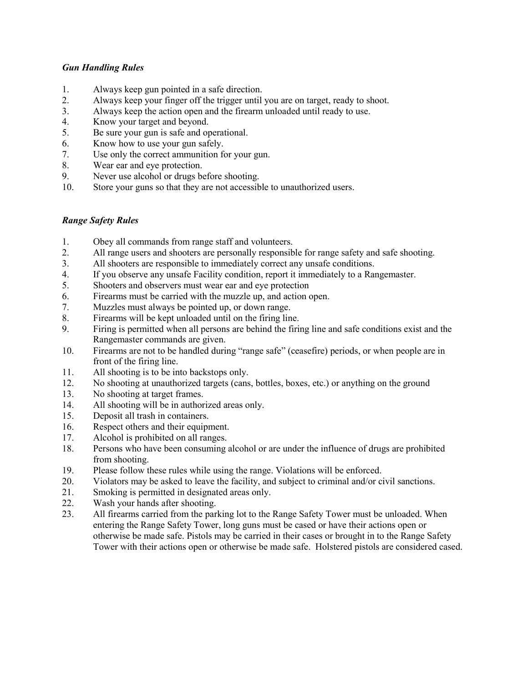#### *Gun Handling Rules*

- 1. Always keep gun pointed in a safe direction.
- 2. Always keep your finger off the trigger until you are on target, ready to shoot.
- 3. Always keep the action open and the firearm unloaded until ready to use.
- 4. Know your target and beyond.
- 5. Be sure your gun is safe and operational.
- 6. Know how to use your gun safely.
- 7. Use only the correct ammunition for your gun.
- 8. Wear ear and eye protection.
- 9. Never use alcohol or drugs before shooting.
- 10. Store your guns so that they are not accessible to unauthorized users.

#### *Range Safety Rules*

- 1. Obey all commands from range staff and volunteers.
- 2. All range users and shooters are personally responsible for range safety and safe shooting.
- 3. All shooters are responsible to immediately correct any unsafe conditions.
- 4. If you observe any unsafe Facility condition, report it immediately to a Rangemaster.<br>5. Shooters and observers must wear ear and eve protection
- 5. Shooters and observers must wear ear and eye protection
- 6. Firearms must be carried with the muzzle up, and action open.
- 7. Muzzles must always be pointed up, or down range.
- 8. Firearms will be kept unloaded until on the firing line.
- 9. Firing is permitted when all persons are behind the firing line and safe conditions exist and the Rangemaster commands are given.
- 10. Firearms are not to be handled during "range safe" (ceasefire) periods, or when people are in front of the firing line.
- 11. All shooting is to be into backstops only.
- 12. No shooting at unauthorized targets (cans, bottles, boxes, etc.) or anything on the ground
- 13. No shooting at target frames.
- 14. All shooting will be in authorized areas only.
- 15. Deposit all trash in containers.
- 16. Respect others and their equipment.
- 17. Alcohol is prohibited on all ranges.
- 18. Persons who have been consuming alcohol or are under the influence of drugs are prohibited from shooting.
- 19. Please follow these rules while using the range. Violations will be enforced.
- 20. Violators may be asked to leave the facility, and subject to criminal and/or civil sanctions.
- 21. Smoking is permitted in designated areas only.
- 22. Wash your hands after shooting.
- 23. All firearms carried from the parking lot to the Range Safety Tower must be unloaded. When entering the Range Safety Tower, long guns must be cased or have their actions open or otherwise be made safe. Pistols may be carried in their cases or brought in to the Range Safety Tower with their actions open or otherwise be made safe. Holstered pistols are considered cased.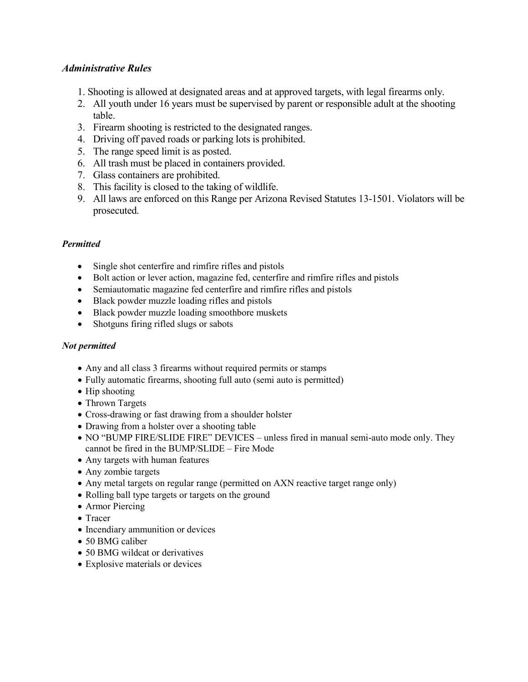## *Administrative Rules*

- 1. Shooting is allowed at designated areas and at approved targets, with legal firearms only.
- 2. All youth under 16 years must be supervised by parent or responsible adult at the shooting table.
- 3. Firearm shooting is restricted to the designated ranges.
- 4. Driving off paved roads or parking lots is prohibited.
- 5. The range speed limit is as posted.
- 6. All trash must be placed in containers provided.
- 7. Glass containers are prohibited.
- 8. This facility is closed to the taking of wildlife.
- 9. All laws are enforced on this Range per Arizona Revised Statutes 13-1501. Violators will be prosecuted.

# *Permitted*

- Single shot centerfire and rimfire rifles and pistols
- Bolt action or lever action, magazine fed, centerfire and rimfire rifles and pistols
- Semiautomatic magazine fed centerfire and rimfire rifles and pistols
- Black powder muzzle loading rifles and pistols
- Black powder muzzle loading smoothbore muskets
- Shotguns firing rifled slugs or sabots

## *Not permitted*

- Any and all class 3 firearms without required permits or stamps
- Fully automatic firearms, shooting full auto (semi auto is permitted)
- Hip shooting
- Thrown Targets
- Cross-drawing or fast drawing from a shoulder holster
- Drawing from a holster over a shooting table
- NO "BUMP FIRE/SLIDE FIRE" DEVICES unless fired in manual semi-auto mode only. They cannot be fired in the BUMP/SLIDE – Fire Mode
- Any targets with human features
- Any zombie targets
- Any metal targets on regular range (permitted on AXN reactive target range only)
- Rolling ball type targets or targets on the ground
- Armor Piercing
- Tracer
- Incendiary ammunition or devices
- 50 BMG caliber
- 50 BMG wildcat or derivatives
- Explosive materials or devices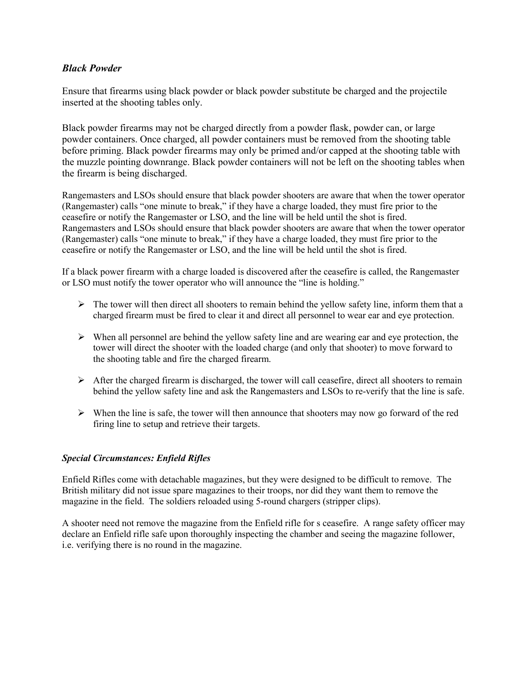## *Black Powder*

Ensure that firearms using black powder or black powder substitute be charged and the projectile inserted at the shooting tables only.

Black powder firearms may not be charged directly from a powder flask, powder can, or large powder containers. Once charged, all powder containers must be removed from the shooting table before priming. Black powder firearms may only be primed and/or capped at the shooting table with the muzzle pointing downrange. Black powder containers will not be left on the shooting tables when the firearm is being discharged.

Rangemasters and LSOs should ensure that black powder shooters are aware that when the tower operator (Rangemaster) calls "one minute to break," if they have a charge loaded, they must fire prior to the ceasefire or notify the Rangemaster or LSO, and the line will be held until the shot is fired. Rangemasters and LSOs should ensure that black powder shooters are aware that when the tower operator (Rangemaster) calls "one minute to break," if they have a charge loaded, they must fire prior to the ceasefire or notify the Rangemaster or LSO, and the line will be held until the shot is fired.

If a black power firearm with a charge loaded is discovered after the ceasefire is called, the Rangemaster or LSO must notify the tower operator who will announce the "line is holding."

- $\triangleright$  The tower will then direct all shooters to remain behind the yellow safety line, inform them that a charged firearm must be fired to clear it and direct all personnel to wear ear and eye protection.
- $\triangleright$  When all personnel are behind the yellow safety line and are wearing ear and eye protection, the tower will direct the shooter with the loaded charge (and only that shooter) to move forward to the shooting table and fire the charged firearm.
- $\triangleright$  After the charged firearm is discharged, the tower will call ceasefire, direct all shooters to remain behind the yellow safety line and ask the Rangemasters and LSOs to re-verify that the line is safe.
- $\triangleright$  When the line is safe, the tower will then announce that shooters may now go forward of the red firing line to setup and retrieve their targets.

#### *Special Circumstances: Enfield Rifles*

Enfield Rifles come with detachable magazines, but they were designed to be difficult to remove. The British military did not issue spare magazines to their troops, nor did they want them to remove the magazine in the field. The soldiers reloaded using 5-round chargers (stripper clips).

A shooter need not remove the magazine from the Enfield rifle for s ceasefire. A range safety officer may declare an Enfield rifle safe upon thoroughly inspecting the chamber and seeing the magazine follower, i.e. verifying there is no round in the magazine.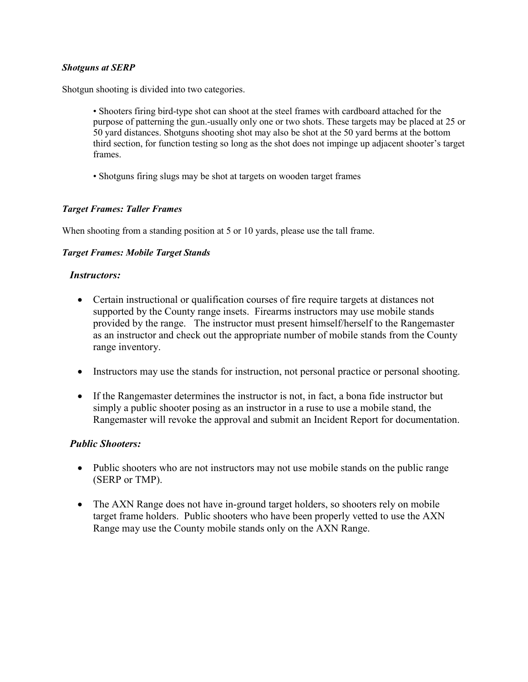#### *Shotguns at SERP*

Shotgun shooting is divided into two categories.

- Shooters firing bird-type shot can shoot at the steel frames with cardboard attached for the purpose of patterning the gun.-usually only one or two shots. These targets may be placed at 25 or 50 yard distances. Shotguns shooting shot may also be shot at the 50 yard berms at the bottom third section, for function testing so long as the shot does not impinge up adjacent shooter's target frames.
- Shotguns firing slugs may be shot at targets on wooden target frames

#### *Target Frames: Taller Frames*

When shooting from a standing position at 5 or 10 yards, please use the tall frame.

#### *Target Frames: Mobile Target Stands*

#### *Instructors:*

- Certain instructional or qualification courses of fire require targets at distances not supported by the County range insets. Firearms instructors may use mobile stands provided by the range. The instructor must present himself/herself to the Rangemaster as an instructor and check out the appropriate number of mobile stands from the County range inventory.
- Instructors may use the stands for instruction, not personal practice or personal shooting.
- If the Rangemaster determines the instructor is not, in fact, a bona fide instructor but simply a public shooter posing as an instructor in a ruse to use a mobile stand, the Rangemaster will revoke the approval and submit an Incident Report for documentation.

## *Public Shooters:*

- Public shooters who are not instructors may not use mobile stands on the public range (SERP or TMP).
- The AXN Range does not have in-ground target holders, so shooters rely on mobile target frame holders. Public shooters who have been properly vetted to use the AXN Range may use the County mobile stands only on the AXN Range.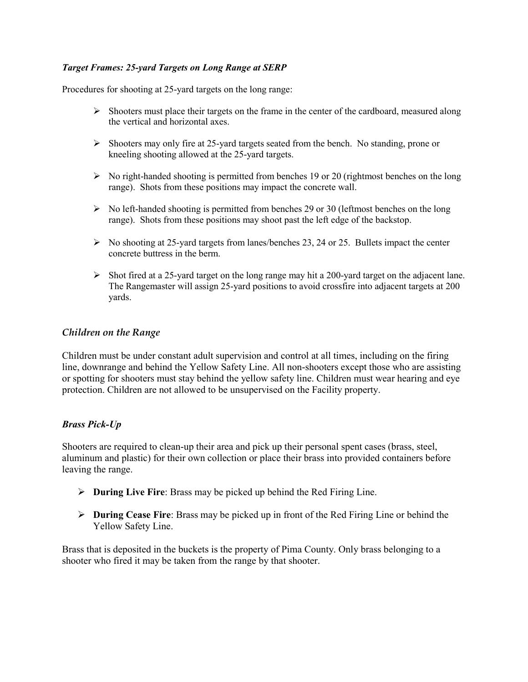## *Target Frames: 25-yard Targets on Long Range at SERP*

Procedures for shooting at 25-yard targets on the long range:

- $\triangleright$  Shooters must place their targets on the frame in the center of the cardboard, measured along the vertical and horizontal axes.
- $\triangleright$  Shooters may only fire at 25-yard targets seated from the bench. No standing, prone or kneeling shooting allowed at the 25-yard targets.
- $\triangleright$  No right-handed shooting is permitted from benches 19 or 20 (rightmost benches on the long range). Shots from these positions may impact the concrete wall.
- $\triangleright$  No left-handed shooting is permitted from benches 29 or 30 (leftmost benches on the long range). Shots from these positions may shoot past the left edge of the backstop.
- $\triangleright$  No shooting at 25-yard targets from lanes/benches 23, 24 or 25. Bullets impact the center concrete buttress in the berm.
- $\triangleright$  Shot fired at a 25-yard target on the long range may hit a 200-yard target on the adjacent lane. The Rangemaster will assign 25-yard positions to avoid crossfire into adjacent targets at 200 yards.

#### *Children on the Range*

Children must be under constant adult supervision and control at all times, including on the firing line, downrange and behind the Yellow Safety Line. All non-shooters except those who are assisting or spotting for shooters must stay behind the yellow safety line. Children must wear hearing and eye protection. Children are not allowed to be unsupervised on the Facility property.

#### *Brass Pick-Up*

Shooters are required to clean-up their area and pick up their personal spent cases (brass, steel, aluminum and plastic) for their own collection or place their brass into provided containers before leaving the range.

- **During Live Fire**: Brass may be picked up behind the Red Firing Line.
- **During Cease Fire**: Brass may be picked up in front of the Red Firing Line or behind the Yellow Safety Line.

Brass that is deposited in the buckets is the property of Pima County. Only brass belonging to a shooter who fired it may be taken from the range by that shooter.